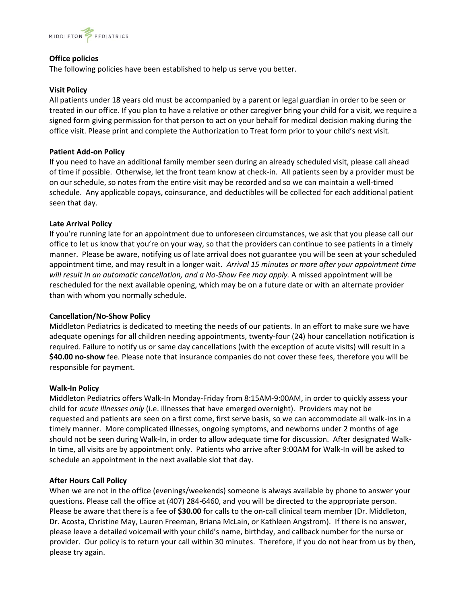

# **Office policies**

The following policies have been established to help us serve you better.

#### **Visit Policy**

All patients under 18 years old must be accompanied by a parent or legal guardian in order to be seen or treated in our office. If you plan to have a relative or other caregiver bring your child for a visit, we require a signed form giving permission for that person to act on your behalf for medical decision making during the office visit. Please print and complete the Authorization to Treat form prior to your child's next visit.

#### **Patient Add-on Policy**

If you need to have an additional family member seen during an already scheduled visit, please call ahead of time if possible. Otherwise, let the front team know at check-in. All patients seen by a provider must be on our schedule, so notes from the entire visit may be recorded and so we can maintain a well-timed schedule. Any applicable copays, coinsurance, and deductibles will be collected for each additional patient seen that day.

#### **Late Arrival Policy**

If you're running late for an appointment due to unforeseen circumstances, we ask that you please call our office to let us know that you're on your way, so that the providers can continue to see patients in a timely manner. Please be aware, notifying us of late arrival does not guarantee you will be seen at your scheduled appointment time, and may result in a longer wait. *Arrival 15 minutes or more after your appointment time*  will result in an automatic cancellation, and a No-Show Fee may apply. A missed appointment will be rescheduled for the next available opening, which may be on a future date or with an alternate provider than with whom you normally schedule.

#### **Cancellation/No-Show Policy**

Middleton Pediatrics is dedicated to meeting the needs of our patients. In an effort to make sure we have adequate openings for all children needing appointments, twenty-four (24) hour cancellation notification is required. Failure to notify us or same day cancellations (with the exception of acute visits) will result in a **\$40.00 no-show** fee. Please note that insurance companies do not cover these fees, therefore you will be responsible for payment.

#### **Walk-In Policy**

Middleton Pediatrics offers Walk-In Monday-Friday from 8:15AM-9:00AM, in order to quickly assess your child for *acute illnesses only* (i.e. illnesses that have emerged overnight). Providers may not be requested and patients are seen on a first come, first serve basis, so we can accommodate all walk-ins in a timely manner. More complicated illnesses, ongoing symptoms, and newborns under 2 months of age should not be seen during Walk-In, in order to allow adequate time for discussion. After designated Walk-In time, all visits are by appointment only. Patients who arrive after 9:00AM for Walk-In will be asked to schedule an appointment in the next available slot that day.

#### **After Hours Call Policy**

When we are not in the office (evenings/weekends) someone is always available by phone to answer your questions. Please call the office at (407) 284-6460, and you will be directed to the appropriate person. Please be aware that there is a fee of **\$30.00** for calls to the on-call clinical team member (Dr. Middleton, Dr. Acosta, Christine May, Lauren Freeman, Briana McLain, or Kathleen Angstrom). If there is no answer, please leave a detailed voicemail with your child's name, birthday, and callback number for the nurse or provider. Our policy is to return your call within 30 minutes. Therefore, if you do not hear from us by then, please try again.